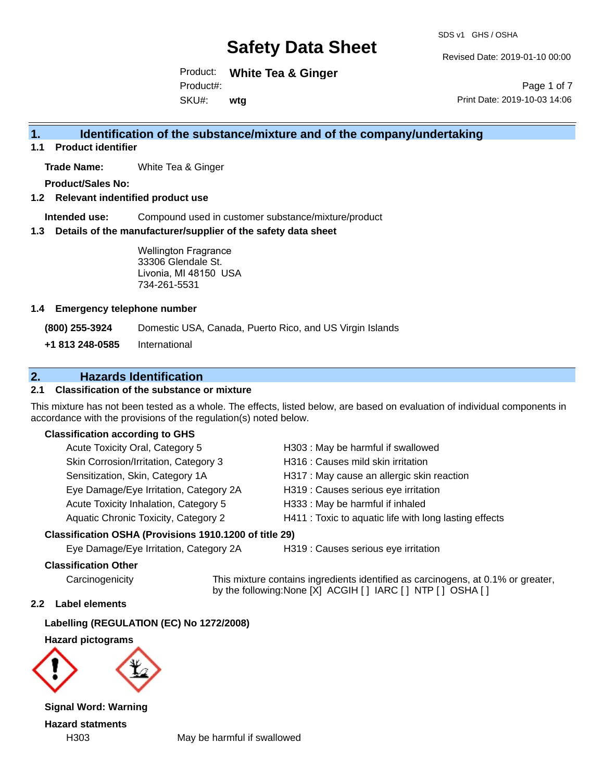Revised Date: 2019-01-10 00:00

Product: **White Tea & Ginger** SKU#: Product#: **wtg**

Page 1 of 7 Print Date: 2019-10-03 14:06

## **1. Identification of the substance/mixture and of the company/undertaking**

**1.1 Product identifier**

**Trade Name:** White Tea & Ginger

**Product/Sales No:**

#### **1.2 Relevant indentified product use**

**Intended use:** Compound used in customer substance/mixture/product

#### **1.3 Details of the manufacturer/supplier of the safety data sheet**

Wellington Fragrance 33306 Glendale St. Livonia, MI 48150 USA 734-261-5531

#### **1.4 Emergency telephone number**

**(800) 255-3924** Domestic USA, Canada, Puerto Rico, and US Virgin Islands

**+1 813 248-0585** International

## **2. Hazards Identification**

### **2.1 Classification of the substance or mixture**

This mixture has not been tested as a whole. The effects, listed below, are based on evaluation of individual components in accordance with the provisions of the regulation(s) noted below.

#### **Classification according to GHS**

| Acute Toxicity Oral, Category 5        | H303 : May be harmful if swallowed                     |
|----------------------------------------|--------------------------------------------------------|
| Skin Corrosion/Irritation, Category 3  | H316 : Causes mild skin irritation                     |
| Sensitization, Skin, Category 1A       | H317 : May cause an allergic skin reaction             |
| Eye Damage/Eye Irritation, Category 2A | H319 : Causes serious eye irritation                   |
| Acute Toxicity Inhalation, Category 5  | H333: May be harmful if inhaled                        |
| Aquatic Chronic Toxicity, Category 2   | H411 : Toxic to aquatic life with long lasting effects |

### **Classification OSHA (Provisions 1910.1200 of title 29)**

Eye Damage/Eye Irritation, Category 2A H319 : Causes serious eye irritation

#### **Classification Other**

Carcinogenicity This mixture contains ingredients identified as carcinogens, at 0.1% or greater, by the following:None [X] ACGIH [ ] IARC [ ] NTP [ ] OSHA [ ]

#### **2.2 Label elements**

**Labelling (REGULATION (EC) No 1272/2008)**

**Hazard pictograms**



**Signal Word: Warning Hazard statments**

H303 May be harmful if swallowed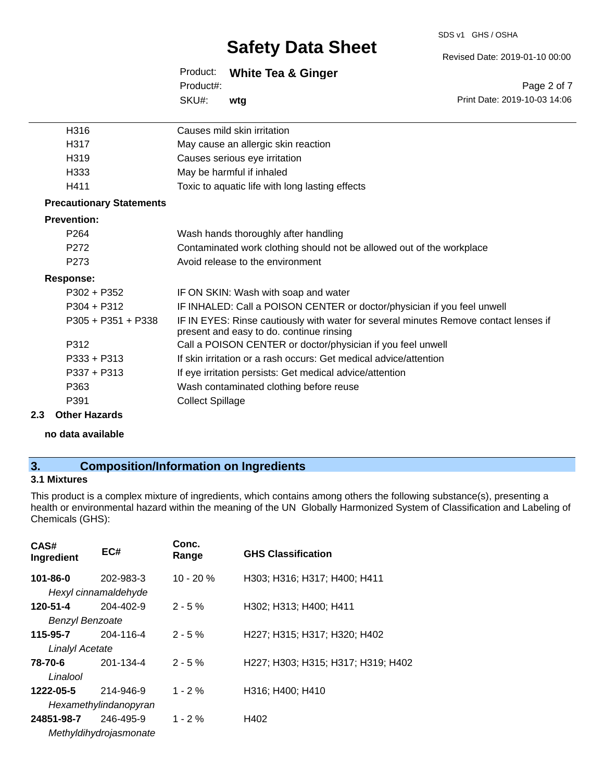#### SDS v1 GHS / OSHA

## **Safety Data Sheet**

Revised Date: 2019-01-10 00:00

Print Date: 2019-10-03 14:06

Page 2 of 7

|           | Product: White Tea & Ginger |
|-----------|-----------------------------|
| Product#: |                             |
| SKU#:     | wta                         |

| H316                            | Causes mild skin irritation                                                                                                      |
|---------------------------------|----------------------------------------------------------------------------------------------------------------------------------|
| H317                            | May cause an allergic skin reaction                                                                                              |
| H319                            | Causes serious eye irritation                                                                                                    |
| H333                            | May be harmful if inhaled                                                                                                        |
| H411                            | Toxic to aquatic life with long lasting effects                                                                                  |
| <b>Precautionary Statements</b> |                                                                                                                                  |
| <b>Prevention:</b>              |                                                                                                                                  |
| P <sub>264</sub>                | Wash hands thoroughly after handling                                                                                             |
| P272                            | Contaminated work clothing should not be allowed out of the workplace                                                            |
| P <sub>273</sub>                | Avoid release to the environment                                                                                                 |
| <b>Response:</b>                |                                                                                                                                  |
| $P302 + P352$                   | IF ON SKIN: Wash with soap and water                                                                                             |
| $P304 + P312$                   | IF INHALED: Call a POISON CENTER or doctor/physician if you feel unwell                                                          |
| P305 + P351 + P338              | IF IN EYES: Rinse cautiously with water for several minutes Remove contact lenses if<br>present and easy to do. continue rinsing |
| P312                            | Call a POISON CENTER or doctor/physician if you feel unwell                                                                      |
| $P333 + P313$                   | If skin irritation or a rash occurs: Get medical advice/attention                                                                |
| $P337 + P313$                   | If eye irritation persists: Get medical advice/attention                                                                         |
| P363                            | Wash contaminated clothing before reuse                                                                                          |
| P391                            | <b>Collect Spillage</b>                                                                                                          |

#### **2.3 Other Hazards**

**no data available**

## **3. Composition/Information on Ingredients**

### **3.1 Mixtures**

This product is a complex mixture of ingredients, which contains among others the following substance(s), presenting a health or environmental hazard within the meaning of the UN Globally Harmonized System of Classification and Labeling of Chemicals (GHS):

| EC#                    | Conc.<br>Range | <b>GHS Classification</b>          |
|------------------------|----------------|------------------------------------|
| 202-983-3              | $10 - 20%$     | H303; H316; H317; H400; H411       |
| Hexyl cinnamaldehyde   |                |                                    |
| $204 - 402 - 9$        | $2 - 5%$       | H302; H313; H400; H411             |
| <b>Benzyl Benzoate</b> |                |                                    |
| 204-116-4              | $2 - 5%$       | H227; H315; H317; H320; H402       |
| <b>Linalyl Acetate</b> |                |                                    |
| 201-134-4              | $2 - 5%$       | H227; H303; H315; H317; H319; H402 |
|                        |                |                                    |
| 214-946-9              | $1 - 2 \%$     | H316; H400; H410                   |
| Hexamethylindanopyran  |                |                                    |
| 246-495-9              | $1 - 2 \%$     | H402                               |
| Methyldihydrojasmonate |                |                                    |
|                        |                |                                    |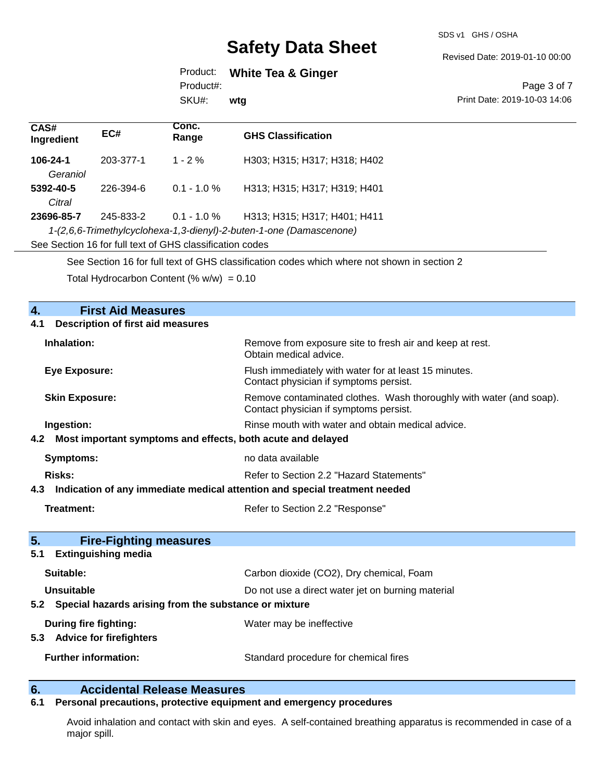SDS v1 GHS / OSHA

Revised Date: 2019-01-10 00:00

Product: **White Tea & Ginger** Product#:

SKU#: **wtg**

#### Page 3 of 7 Print Date: 2019-10-03 14:06

| CAS#<br>Ingredient                                                                          | EC#       | Conc.<br>Range | <b>GHS Classification</b>    |
|---------------------------------------------------------------------------------------------|-----------|----------------|------------------------------|
| 106-24-1                                                                                    | 203-377-1 | $1 - 2\%$      | H303; H315; H317; H318; H402 |
| Geraniol                                                                                    |           |                |                              |
| 5392-40-5                                                                                   | 226-394-6 | $0.1 - 1.0 \%$ | H313; H315; H317; H319; H401 |
| Citral                                                                                      |           |                |                              |
| 23696-85-7                                                                                  | 245-833-2 | $0.1 - 1.0 \%$ | H313; H315; H317; H401; H411 |
| 1-(2,6,6-Trimethylcyclohexa-1,3-dienyl)-2-buten-1-one (Damascenone)                         |           |                |                              |
| See Section 16 for full text of GHS classification codes                                    |           |                |                              |
| See Section 16 for full text of GHS classification codes which where not shown in section 2 |           |                |                              |

Total Hydrocarbon Content  $(\% w/w) = 0.10$ 

## **4. First Aid Measures 4.1 Description of first aid measures Inhalation:** Remove from exposure site to fresh air and keep at rest. Obtain medical advice. **Eye Exposure:** Flush immediately with water for at least 15 minutes. Contact physician if symptoms persist. **Skin Exposure:** Nextern American Section Remove contaminated clothes. Wash thoroughly with water (and soap). Contact physician if symptoms persist. **Ingestion: Rinse mouth with water and obtain medical advice. Rinse mouth with water and obtain medical advice. 4.2 Most important symptoms and effects, both acute and delayed Symptoms:** no data available **Risks:** Risks: Refer to Section 2.2 "Hazard Statements" **4.3 Indication of any immediate medical attention and special treatment needed Treatment:** Treatment: Refer to Section 2.2 "Response" **5. Fire-Fighting measures 5.1 Extinguishing media Suitable:** Carbon dioxide (CO2), Dry chemical, Foam **Unsuitable** Do not use a direct water jet on burning material **5.2 Special hazards arising from the substance or mixture During fire fighting:** Water may be ineffective **5.3 Advice for firefighters Further information:** Standard procedure for chemical fires

## **6. Accidental Release Measures**

#### **6.1 Personal precautions, protective equipment and emergency procedures**

Avoid inhalation and contact with skin and eyes. A self-contained breathing apparatus is recommended in case of a major spill.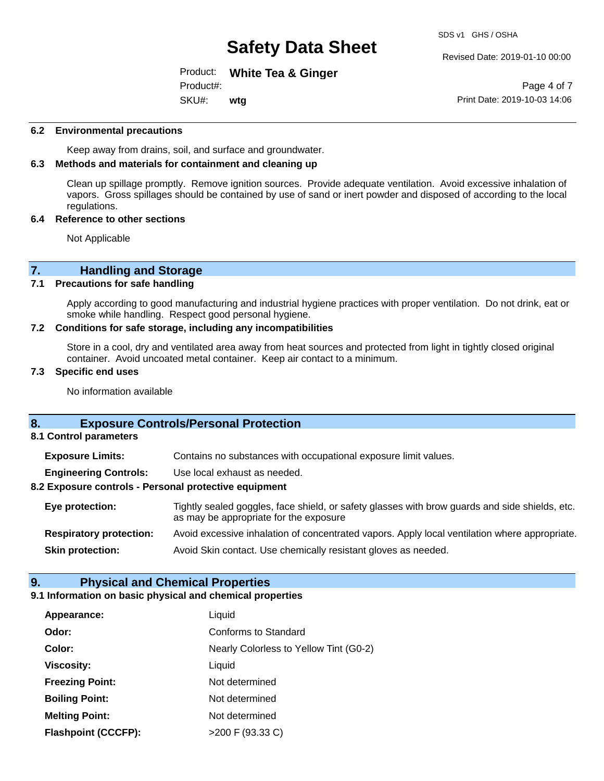Revised Date: 2019-01-10 00:00

Product: **White Tea & Ginger** SKU#: Product#: **wtg**

Page 4 of 7 Print Date: 2019-10-03 14:06

#### **6.2 Environmental precautions**

Keep away from drains, soil, and surface and groundwater.

#### **6.3 Methods and materials for containment and cleaning up**

Clean up spillage promptly. Remove ignition sources. Provide adequate ventilation. Avoid excessive inhalation of vapors. Gross spillages should be contained by use of sand or inert powder and disposed of according to the local regulations.

#### **6.4 Reference to other sections**

Not Applicable

# **7. Handling and Storage**<br>**7.1** Precautions for safe handling

#### **Precautions for safe handling**

Apply according to good manufacturing and industrial hygiene practices with proper ventilation. Do not drink, eat or smoke while handling. Respect good personal hygiene.

#### **7.2 Conditions for safe storage, including any incompatibilities**

Store in a cool, dry and ventilated area away from heat sources and protected from light in tightly closed original container. Avoid uncoated metal container. Keep air contact to a minimum.

#### **7.3 Specific end uses**

No information available

### **8. Exposure Controls/Personal Protection**

**8.1 Control parameters**

**Exposure Limits:** Contains no substances with occupational exposure limit values.

**Engineering Controls:** Use local exhaust as needed.

#### **8.2 Exposure controls - Personal protective equipment**

**Eye protection:** Tightly sealed goggles, face shield, or safety glasses with brow guards and side shields, etc. as may be appropriate for the exposure **Respiratory protection:** Avoid excessive inhalation of concentrated vapors. Apply local ventilation where appropriate.

**Skin protection:** Avoid Skin contact. Use chemically resistant gloves as needed.

#### **9. Physical and Chemical Properties**

#### **9.1 Information on basic physical and chemical properties**

| Appearance:                | Liquid                                 |
|----------------------------|----------------------------------------|
| Odor:                      | <b>Conforms to Standard</b>            |
| Color:                     | Nearly Colorless to Yellow Tint (G0-2) |
| <b>Viscosity:</b>          | Liquid                                 |
| <b>Freezing Point:</b>     | Not determined                         |
| <b>Boiling Point:</b>      | Not determined                         |
| <b>Melting Point:</b>      | Not determined                         |
| <b>Flashpoint (CCCFP):</b> | $>200$ F (93.33 C)                     |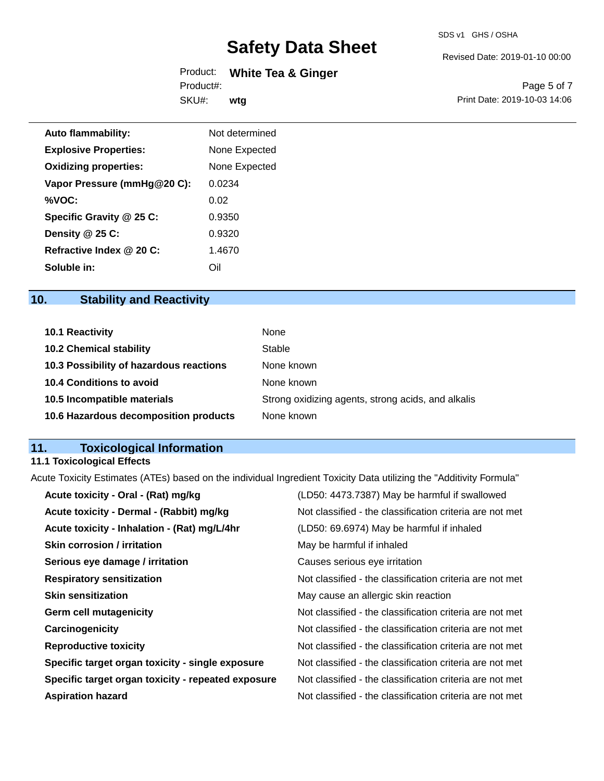Revised Date: 2019-01-10 00:00

Product: **White Tea & Ginger** SKU#: Product#: **wtg**

Page 5 of 7 Print Date: 2019-10-03 14:06

| <b>Auto flammability:</b>    | Not determined |
|------------------------------|----------------|
| <b>Explosive Properties:</b> | None Expected  |
| <b>Oxidizing properties:</b> | None Expected  |
| Vapor Pressure (mmHg@20 C):  | 0.0234         |
| %VOC:                        | 0.02           |
| Specific Gravity @ 25 C:     | 0.9350         |
| Density @ 25 C:              | 0.9320         |
| Refractive Index @ 20 C:     | 1.4670         |
| Soluble in:                  | Oil            |

## **10. Stability and Reactivity**

| <b>10.1 Reactivity</b>                  | None                                               |
|-----------------------------------------|----------------------------------------------------|
| <b>10.2 Chemical stability</b>          | Stable                                             |
| 10.3 Possibility of hazardous reactions | None known                                         |
| 10.4 Conditions to avoid                | None known                                         |
| 10.5 Incompatible materials             | Strong oxidizing agents, strong acids, and alkalis |
| 10.6 Hazardous decomposition products   | None known                                         |

## **11. Toxicological Information**

## **11.1 Toxicological Effects**

Acute Toxicity Estimates (ATEs) based on the individual Ingredient Toxicity Data utilizing the "Additivity Formula"

| Acute toxicity - Oral - (Rat) mg/kg                | (LD50: 4473.7387) May be harmful if swallowed            |
|----------------------------------------------------|----------------------------------------------------------|
| Acute toxicity - Dermal - (Rabbit) mg/kg           | Not classified - the classification criteria are not met |
| Acute toxicity - Inhalation - (Rat) mg/L/4hr       | (LD50: 69.6974) May be harmful if inhaled                |
| <b>Skin corrosion / irritation</b>                 | May be harmful if inhaled                                |
| Serious eye damage / irritation                    | Causes serious eye irritation                            |
| <b>Respiratory sensitization</b>                   | Not classified - the classification criteria are not met |
| <b>Skin sensitization</b>                          | May cause an allergic skin reaction                      |
| <b>Germ cell mutagenicity</b>                      | Not classified - the classification criteria are not met |
| Carcinogenicity                                    | Not classified - the classification criteria are not met |
| <b>Reproductive toxicity</b>                       | Not classified - the classification criteria are not met |
| Specific target organ toxicity - single exposure   | Not classified - the classification criteria are not met |
| Specific target organ toxicity - repeated exposure | Not classified - the classification criteria are not met |
| <b>Aspiration hazard</b>                           | Not classified - the classification criteria are not met |
|                                                    |                                                          |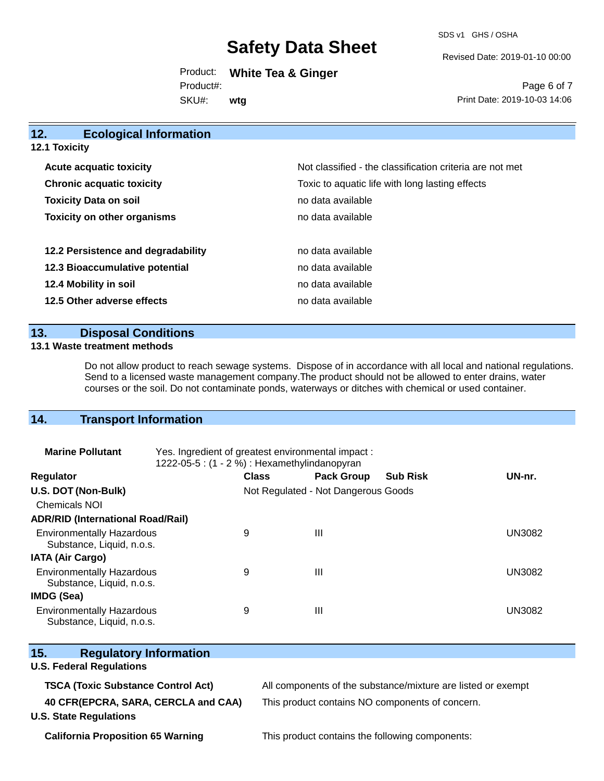SDS v1 GHS / OSHA

Revised Date: 2019-01-10 00:00

Print Date: 2019-10-03 14:06

Page 6 of 7

Product: **White Tea & Ginger** SKU#: Product#: **wtg**

**12. Ecological Information 12.1 Toxicity Acute acquatic toxicity**  $\qquad \qquad \qquad$  Not classified - the classification criteria are not met **Chronic acquatic toxicity Toxic to aquatic life with long lasting effects Chronic acquatic life with long lasting effects Toxicity Data on soil no data available no data available Toxicity on other organisms no data available 12.2 Persistence and degradability no data available 12.3 Bioaccumulative potential** no data available **12.4 Mobility in soil 12.4 Mobility in soil** 

**12.5 Other adverse effects no data available no data available** 

#### **13. Disposal Conditions**

#### **13.1 Waste treatment methods**

Do not allow product to reach sewage systems. Dispose of in accordance with all local and national regulations. Send to a licensed waste management company.The product should not be allowed to enter drains, water courses or the soil. Do not contaminate ponds, waterways or ditches with chemical or used container.

### **14. Transport Information**

| <b>Marine Pollutant</b>                                       | Yes. Ingredient of greatest environmental impact:<br>1222-05-5 : $(1 - 2%)$ : Hexamethylindanopyran |              |                                     |                 |               |
|---------------------------------------------------------------|-----------------------------------------------------------------------------------------------------|--------------|-------------------------------------|-----------------|---------------|
| <b>Regulator</b>                                              |                                                                                                     | <b>Class</b> | <b>Pack Group</b>                   | <b>Sub Risk</b> | UN-nr.        |
| U.S. DOT (Non-Bulk)                                           |                                                                                                     |              | Not Regulated - Not Dangerous Goods |                 |               |
| <b>Chemicals NOI</b>                                          |                                                                                                     |              |                                     |                 |               |
| <b>ADR/RID (International Road/Rail)</b>                      |                                                                                                     |              |                                     |                 |               |
| <b>Environmentally Hazardous</b><br>Substance, Liquid, n.o.s. |                                                                                                     | 9            | Ш                                   |                 | <b>UN3082</b> |
| <b>IATA (Air Cargo)</b>                                       |                                                                                                     |              |                                     |                 |               |
| <b>Environmentally Hazardous</b><br>Substance, Liquid, n.o.s. |                                                                                                     | 9            | Ш                                   |                 | <b>UN3082</b> |
| IMDG (Sea)                                                    |                                                                                                     |              |                                     |                 |               |
| <b>Environmentally Hazardous</b><br>Substance, Liquid, n.o.s. |                                                                                                     | 9            | Ш                                   |                 | <b>UN3082</b> |

| 15.<br><b>Regulatory Information</b>                                 |                                                              |
|----------------------------------------------------------------------|--------------------------------------------------------------|
| <b>U.S. Federal Regulations</b>                                      |                                                              |
| <b>TSCA (Toxic Substance Control Act)</b>                            | All components of the substance/mixture are listed or exempt |
| 40 CFR(EPCRA, SARA, CERCLA and CAA)<br><b>U.S. State Regulations</b> | This product contains NO components of concern.              |

**California Proposition 65 Warning** This product contains the following components: